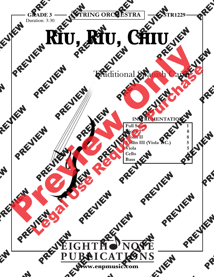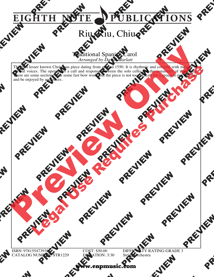

## Riu, Riu, Chiu

*Arranged by David Marlatt* Traditional Spanish Carol

This is a lesser known Christmas piece dating from around 1550. It is rhythmic and colorful with melody in several voices. The opening is a call and response between the solo cello and the remainder of the group. There are some sections with some fast bow work, but the piece is not too difficult for a group to put together and be enjoyed by audiences. PREVIEW PREVIEW PREVIEW PREVIEW PREVIEW PREVIEW PREVIEW PREVIEW PREVIEW PREVIEW PREVIEW PREVIEW PREVIEW PREVIEW PREVIEW PREVIEW PREVIEW PREVIEW PREVIEW PREVIEW PREVIEW PREVIEW PREVIEW PREVIEW PREVIEW PREVIEW PREVIEW PREVIE Riu, Riu, Chiu PREVIEW PREVIEW PREVIEW PREVIEW PREVIEW PREVIEW PREVIEW PREVIEW PREVIEW PREVIEW PREVIEW PREVIEW PREVIEW PREVIEW PREVIEW PREVIEW PREVIEW PREVIEW PREVIEW PREVIEW PREVIEW PREVIEW PREVIEW PREVIEW PREVIEW PREVIEW PREVIEW PREVIE Traditional Spanish Carol<br>This is a labor law on Christmas entreprise the control of the control of the control of the control of the control of the control of the control of the control of the control of the control of th Construction and the construction with some fast town work but the piece is not too discovered by matters.

ISBN: 9781554739387 CATALOG NUMBER: STR1229 COST: \$50.00 DURATION: 3:30

DIFFICULTY RATING:GRADE 3 String Orchestra PUTCH PREVIEW PREVIEW PREVIEW PREVIEW PREVIEW PREVIEW PREVIEW PREVIEW PREVIEW PREVIEW PREVIEW PREVIEW PREVIEW PREVIEW PREVIEW PREVIEW PREVIEW PREVIEW PREVIEW PREVIEW PREVIEW PREVIEW PREVIEW PREVIEW PREVIEW PREVIEW PREVIEW PREVIEW PREVIEW PREVIEW PREVIEW PREVIEW PREVIEW PREVIEW PREVIEW PREVIEW PREVIEW PREVIEW PREVIEW PREVIEW PREVIEW PREVIEW PREVIEW PREVIEW PREVIEW PREVIEW PREVIEW PREVIEW PREVIEW PREVIEW PREVIEW PREVIEW PREVIEW PREVIEW PREVIE PREVIEW PREVIEW PREVIEW PREVIEW PREVIEW PREVIEW PREVIEW PREVIEW PREVIEW PREVIEW PREVIEW PREVIEW PREVIEW PREVIEW PREVIEW PREVIEW PREVIEW PREVIEW PREVIEW PREVIEW PREVIEW PREVIEW PREVIEW PREVIEW PREVIEW PREVIEW PREVIEW PREVIE

## **www.enpmusic.com**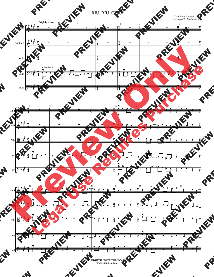

© 2012 **EIGHTH NOTE PUBLICATIONS** www.enpmusic.com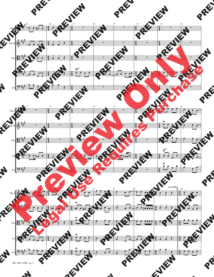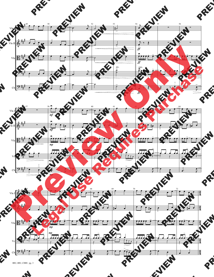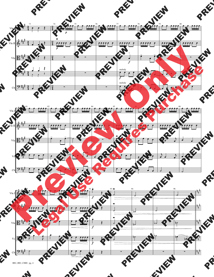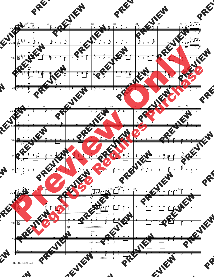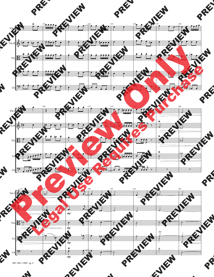